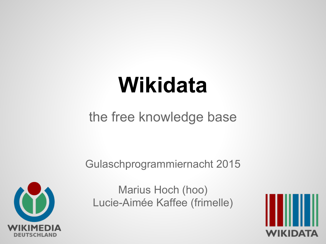# **Wikidata**

#### the free knowledge base

Gulaschprogrammiernacht 2015



Marius Hoch (hoo) Lucie-Aimée Kaffee (frimelle)

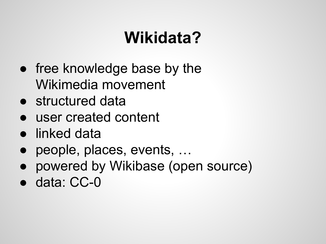# **Wikidata?**

- free knowledge base by the Wikimedia movement
- structured data
- user created content
- linked data
- people, places, events, ...
- powered by Wikibase (open source)
- data: CC-0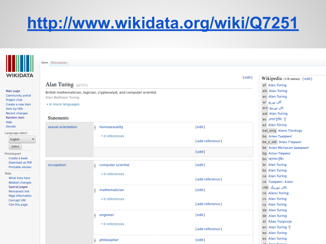# **<http://www.wikidata.org/wiki/Q7251>**



#### Item Discussion

| <b>WIKIDAIA</b>                                    |                                                                       |                        | [edit]          | Wikipedia (118 entries) [edit]       |
|----------------------------------------------------|-----------------------------------------------------------------------|------------------------|-----------------|--------------------------------------|
|                                                    | Alan Turing $(Q7251)$                                                 | af Alan Turing         |                 |                                      |
| Main page<br>Community portal<br>Project chat      | British mathematician, logician, cryptanalyst, and computer scientist | als Alan Turing        |                 |                                      |
|                                                    | Alan Mathison Turing                                                  | an Alan Turing         |                 |                                      |
| Create a new item                                  | In more languages                                                     |                        |                 | آلان تورنج ar                        |
| Item by title                                      |                                                                       |                        |                 | arz الان تورينج                      |
| Recent changes<br>Random item                      |                                                                       |                        |                 | ast Alan Turing                      |
| Help                                               | <b>Statements</b>                                                     |                        |                 | as এলান ট্যুৰিং <sup>ক</sup>         |
| Donate                                             | sexual orientation                                                    | I<br>homosexuality     | [edit]          | az Alan Türing                       |
| Language select                                    |                                                                       |                        |                 | bat smg Alans Tiorengs               |
| English<br>Select<br>Print/export<br>Create a book |                                                                       | $\bullet$ 0 references | [add reference] | <b>ba</b> Алан Тьюринг               |
|                                                    |                                                                       |                        |                 | be_x_old Элан Т'юрынг                |
|                                                    |                                                                       |                        | [add]           | <b>be Алан Матысан Цьюрынг</b>       |
|                                                    |                                                                       |                        |                 | bg Алън Тюринг<br>$bn$ অ্যালান টুরিং |
| Download as PDF                                    | occupation                                                            | computer scientist     | [edit]          | br Alan Turing                       |
| <b>Printable version</b>                           |                                                                       | H                      |                 | bs Alan Turing                       |
| Tools<br>What links here<br>Related changes        |                                                                       | $\star$ 0 references   |                 | ca Alan Turing                       |
|                                                    |                                                                       |                        | [add reference] | се Тьюринг, Алан                     |
| Special pages                                      |                                                                       |                        |                 | ئالان تيورينگ ckb                    |
| <b>Permanent link</b>                              |                                                                       | Р<br>mathematician     | [edit]          | co Alanu Turing                      |
| Page information<br>Concept URI                    |                                                                       | $\star$ 0 references   |                 | cs Alan Turing                       |
| Cite this page                                     |                                                                       |                        | [add reference] | cy Alan Turing                       |
|                                                    |                                                                       |                        |                 | da Alan Turing                       |
|                                                    |                                                                       | ı<br>engineer          | [edit]          | de Alan Turing                       |
|                                                    |                                                                       | $\bullet$ 0 references |                 | el Άλαν Τούρινγκ                     |
|                                                    |                                                                       |                        | [add reference] | en Alan Turing                       |
|                                                    |                                                                       |                        |                 | eo Alan Turing                       |
|                                                    |                                                                       | philosopher            | [edit]          | es Alan Turing                       |
|                                                    |                                                                       |                        |                 | Allen Theo                           |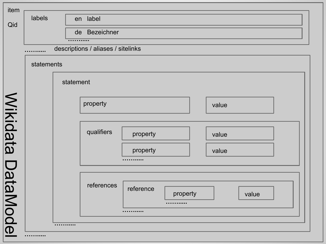| labels     |  | en label                           |                       |       |
|------------|--|------------------------------------|-----------------------|-------|
|            |  | de Bezeichner                      |                       |       |
|            |  | <del>.</del>                       |                       |       |
|            |  | descriptions / aliases / sitelinks |                       |       |
| statements |  |                                    |                       |       |
|            |  | statement                          |                       |       |
|            |  |                                    |                       |       |
|            |  | property                           |                       | value |
|            |  |                                    |                       |       |
|            |  |                                    |                       |       |
|            |  | qualifiers                         | property              | value |
|            |  |                                    | property              | value |
|            |  |                                    |                       |       |
|            |  |                                    |                       |       |
|            |  | references                         |                       |       |
|            |  |                                    | reference<br>property | value |
|            |  |                                    | .                     |       |
|            |  |                                    | .                     |       |
|            |  |                                    |                       |       |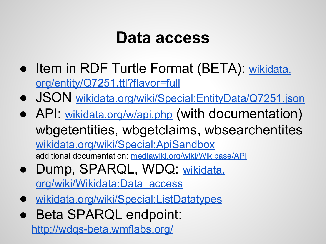### **Data access**

- Item in RDF Turtle Format (BETA): [wikidata.](https://www.wikidata.org/entity/Q7251.ttl?flavor=full) [org/entity/Q7251.ttl?flavor=full](https://www.wikidata.org/entity/Q7251.ttl?flavor=full)
- JSON [wikidata.org/wiki/Special:EntityData/](https://www.wikidata.org/wiki/Special:EntityData/Q4504.json)[Q7251](https://www.wikidata.org/entity/Q4504.ttl?flavor=full)[.json](https://www.wikidata.org/wiki/Special:EntityData/Q7251.json)
- API: [wikidata.org/w/api.php](https://www.wikidata.org/w/api.php) (with documentation) wbgetentities, wbgetclaims, wbsearchentites [wikidata.org/wiki/Special:ApiSandbox](https://www.wikidata.org/wiki/Special:ApiSandbox) additional documentation: [mediawiki.org/wiki/Wikibase/API](https://www.mediawiki.org/wiki/Wikibase/API)
- Dump, SPARQL, WDQ: [wikidata.](https://www.wikidata.org/wiki/Wikidata:Data_access) [org/wiki/Wikidata:Data\\_access](https://www.wikidata.org/wiki/Wikidata:Data_access)
- [wikidata.org/wiki/Special:ListDatatypes](https://www.wikidata.org/wiki/Special:ListDatatypes)
- Beta SPARQL endpoint:

<http://wdqs-beta.wmflabs.org/>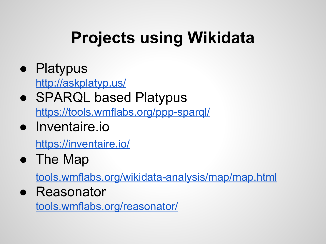# **Projects using Wikidata**

- Platypus <http://askplatyp.us/>
- SPARQL based Platypus <https://tools.wmflabs.org/ppp-sparql/>
- Inventaire.io

<https://inventaire.io/>

• The Map

[tools.wmflabs.org/wikidata-analysis/map/map.html](http://tools.wmflabs.org/wikidata-analysis/map/map.html)

● Reasonator

[tools.wmflabs.org/reasonator/](https://tools.wmflabs.org/reasonator/?q=Q4504&lang=de)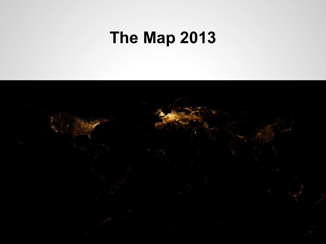# **The Map 2013**

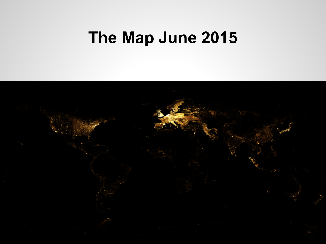# **The Map June 2015**

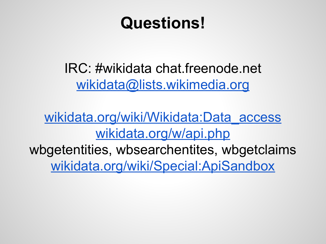# **Questions!**

IRC: #wikidata chat.freenode.net [wikidata@lists.wikimedia.org](mailto:wikidata-l@lists.wikimedia.org)

[wikidata.org/wiki/Wikidata:Data\\_access](https://www.wikidata.org/wiki/Wikidata:Data_access) [wikidata.org/w/api.php](https://www.wikidata.org/w/api.php)

wbgetentities, wbsearchentites, wbgetclaims [wikidata.org/wiki/Special:ApiSandbox](https://www.wikidata.org/wiki/Special:ApiSandbox)